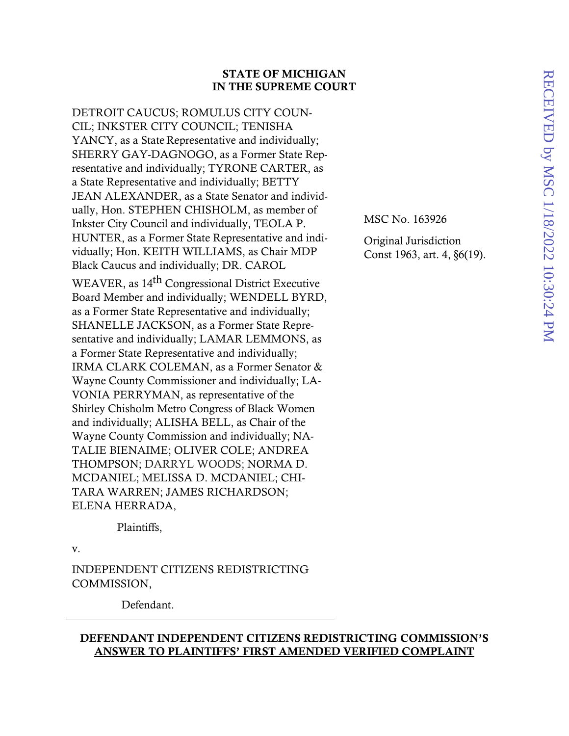### STATE OF MICHIGAN IN THE SUPREME COURT

DETROIT CAUCUS; ROMULUS CITY COUN-CIL; INKSTER CITY COUNCIL; TENISHA YANCY, as a State Representative and individually; SHERRY GAY-DAGNOGO, as a Former State Representative and individually; TYRONE CARTER, as a State Representative and individually; BETTY JEAN ALEXANDER, as a State Senator and individually, Hon. STEPHEN CHISHOLM, as member of Inkster City Council and individually, TEOLA P. HUNTER, as a Former State Representative and individually; Hon. KEITH WILLIAMS, as Chair MDP Black Caucus and individually; DR. CAROL WEAVER, as 14th Congressional District Executive Board Member and individually; WENDELL BYRD, as a Former State Representative and individually; SHANELLE JACKSON, as a Former State Representative and individually; LAMAR LEMMONS, as a Former State Representative and individually; IRMA CLARK COLEMAN, as a Former Senator & Wayne County Commissioner and individually; LA-VONIA PERRYMAN, as representative of the Shirley Chisholm Metro Congress of Black Women and individually; ALISHA BELL, as Chair of the Wayne County Commission and individually; NA-TALIE BIENAIME; OLIVER COLE; ANDREA THOMPSON; DARRYL WOODS; NORMA D. MCDANIEL; MELISSA D. MCDANIEL; CHI-TARA WARREN; JAMES RICHARDSON; ELENA HERRADA,

Plaintiffs,

v.

INDEPENDENT CITIZENS REDISTRICTING COMMISSION,

Defendant.

## DEFENDANT INDEPENDENT CITIZENS REDISTRICTING COMMISSION'S ANSWER TO PLAINTIFFS' FIRST AMENDED VERIFIED COMPLAINT

MSC No. 163926

Original Jurisdiction Const 1963, art. 4, §6(19).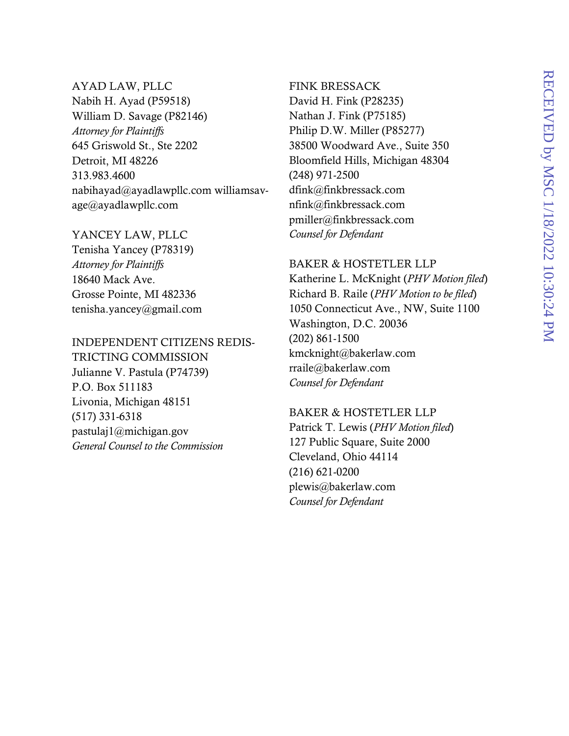### AYAD LAW, PLLC

Nabih H. Ayad (P59518) William D. Savage (P82146) *Attorney for Plaintiffs*  645 Griswold St., Ste 2202 Detroit, MI 48226 313.983.4600 nabihayad@ayadlawpllc.com williamsavage@ayadlawpllc.com

### YANCEY LAW, PLLC

Tenisha Yancey (P78319) *Attorney for Plaintiffs*  18640 Mack Ave. Grosse Pointe, MI 482336 tenisha.yancey@gmail.com

# INDEPENDENT CITIZENS REDIS-

TRICTING COMMISSION Julianne V. Pastula (P74739) P.O. Box 511183 Livonia, Michigan 48151 (517) 331-6318 pastulaj1@michigan.gov *General Counsel to the Commission* 

# FINK BRESSACK

David H. Fink (P28235) Nathan J. Fink (P75185) Philip D.W. Miller (P85277) 38500 Woodward Ave., Suite 350 Bloomfield Hills, Michigan 48304 (248) 971-2500 dfink@finkbressack.com nfink@finkbressack.com pmiller@finkbressack.com *Counsel for Defendant* 

#### BAKER & HOSTETLER LLP

Katherine L. McKnight (*PHV Motion filed*) Richard B. Raile (*PHV Motion to be filed*) 1050 Connecticut Ave., NW, Suite 1100 Washington, D.C. 20036 (202) 861-1500 kmcknight@bakerlaw.com rraile@bakerlaw.com *Counsel for Defendant* 

#### BAKER & HOSTETLER LLP

Patrick T. Lewis (*PHV Motion filed*) 127 Public Square, Suite 2000 Cleveland, Ohio 44114 (216) 621-0200 plewis@bakerlaw.com *Counsel for Defendant*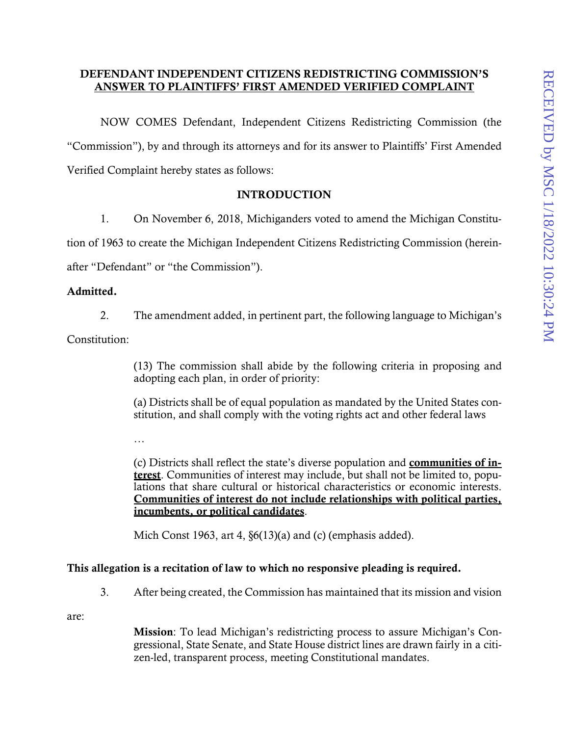## DEFENDANT INDEPENDENT CITIZENS REDISTRICTING COMMISSION'S ANSWER TO PLAINTIFFS' FIRST AMENDED VERIFIED COMPLAINT

NOW COMES Defendant, Independent Citizens Redistricting Commission (the "Commission"), by and through its attorneys and for its answer to Plaintiffs' First Amended Verified Complaint hereby states as follows:

## **INTRODUCTION**

1. On November 6, 2018, Michiganders voted to amend the Michigan Constitution of 1963 to create the Michigan Independent Citizens Redistricting Commission (hereinafter "Defendant" or "the Commission").

## Admitted.

2. The amendment added, in pertinent part, the following language to Michigan's

Constitution:

(13) The commission shall abide by the following criteria in proposing and adopting each plan, in order of priority:

(a) Districts shall be of equal population as mandated by the United States constitution, and shall comply with the voting rights act and other federal laws

…

(c) Districts shall reflect the state's diverse population and communities of interest. Communities of interest may include, but shall not be limited to, populations that share cultural or historical characteristics or economic interests. Communities of interest do not include relationships with political parties, incumbents, or political candidates.

Mich Const 1963, art 4,  $\S6(13)(a)$  and (c) (emphasis added).

## This allegation is a recitation of law to which no responsive pleading is required.

3. After being created, the Commission has maintained that its mission and vision

are:

Mission: To lead Michigan's redistricting process to assure Michigan's Congressional, State Senate, and State House district lines are drawn fairly in a citizen-led, transparent process, meeting Constitutional mandates.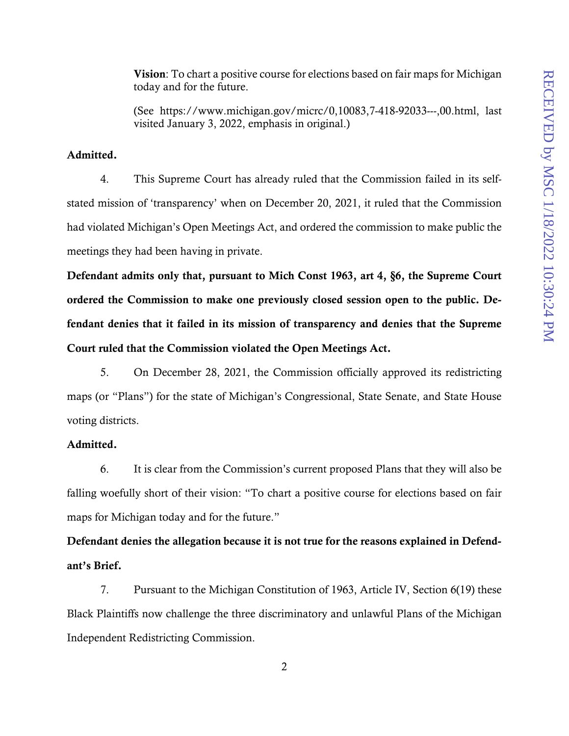Vision: To chart a positive course for elections based on fair maps for Michigan today and for the future.

(See https://www.michigan.gov/micrc/0,10083,7-418-92033---,00.html, last visited January 3, 2022, emphasis in original.)

#### Admitted.

4. This Supreme Court has already ruled that the Commission failed in its selfstated mission of 'transparency' when on December 20, 2021, it ruled that the Commission had violated Michigan's Open Meetings Act, and ordered the commission to make public the meetings they had been having in private.

Defendant admits only that, pursuant to Mich Const 1963, art 4, §6, the Supreme Court ordered the Commission to make one previously closed session open to the public. Defendant denies that it failed in its mission of transparency and denies that the Supreme Court ruled that the Commission violated the Open Meetings Act.

5. On December 28, 2021, the Commission officially approved its redistricting maps (or "Plans") for the state of Michigan's Congressional, State Senate, and State House voting districts.

### Admitted.

6. It is clear from the Commission's current proposed Plans that they will also be falling woefully short of their vision: "To chart a positive course for elections based on fair maps for Michigan today and for the future."

Defendant denies the allegation because it is not true for the reasons explained in Defendant's Brief.

7. Pursuant to the Michigan Constitution of 1963, Article IV, Section 6(19) these Black Plaintiffs now challenge the three discriminatory and unlawful Plans of the Michigan Independent Redistricting Commission.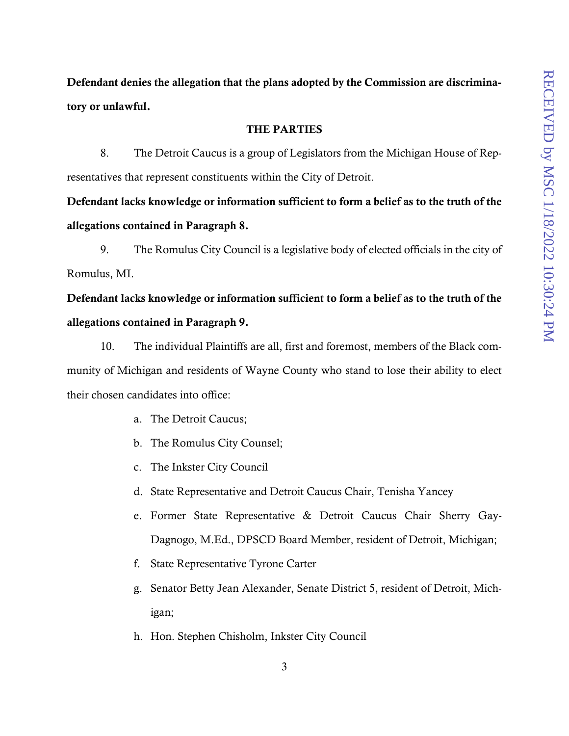Defendant denies the allegation that the plans adopted by the Commission are discriminatory or unlawful.

#### THE PARTIES

8. The Detroit Caucus is a group of Legislators from the Michigan House of Representatives that represent constituents within the City of Detroit.

Defendant lacks knowledge or information sufficient to form a belief as to the truth of the allegations contained in Paragraph 8.

9. The Romulus City Council is a legislative body of elected officials in the city of Romulus, MI.

# Defendant lacks knowledge or information sufficient to form a belief as to the truth of the allegations contained in Paragraph 9.

10. The individual Plaintiffs are all, first and foremost, members of the Black community of Michigan and residents of Wayne County who stand to lose their ability to elect their chosen candidates into office:

- a. The Detroit Caucus;
- b. The Romulus City Counsel;
- c. The Inkster City Council
- d. State Representative and Detroit Caucus Chair, Tenisha Yancey
- e. Former State Representative & Detroit Caucus Chair Sherry Gay-Dagnogo, M.Ed., DPSCD Board Member, resident of Detroit, Michigan;
- f. State Representative Tyrone Carter
- g. Senator Betty Jean Alexander, Senate District 5, resident of Detroit, Michigan;
- h. Hon. Stephen Chisholm, Inkster City Council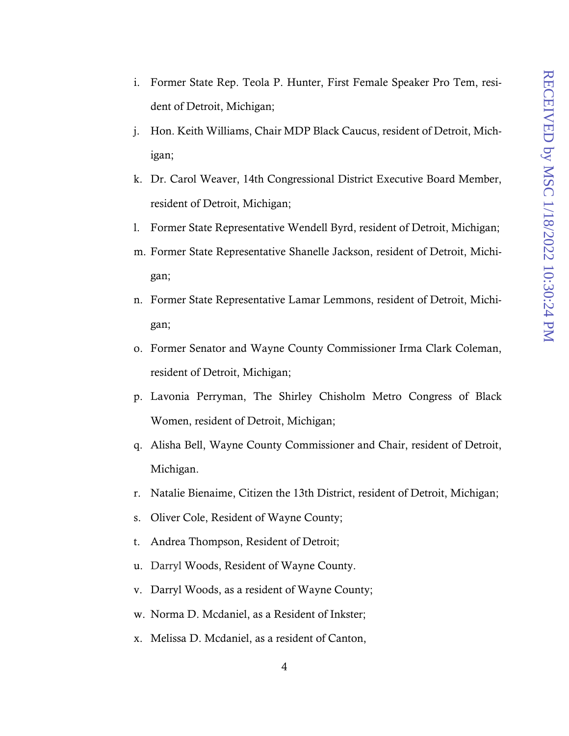- i. Former State Rep. Teola P. Hunter, First Female Speaker Pro Tem, resident of Detroit, Michigan;
- j. Hon. Keith Williams, Chair MDP Black Caucus, resident of Detroit, Michigan;
- k. Dr. Carol Weaver, 14th Congressional District Executive Board Member, resident of Detroit, Michigan;
- l. Former State Representative Wendell Byrd, resident of Detroit, Michigan;
- m. Former State Representative Shanelle Jackson, resident of Detroit, Michigan;
- n. Former State Representative Lamar Lemmons, resident of Detroit, Michigan;
- o. Former Senator and Wayne County Commissioner Irma Clark Coleman, resident of Detroit, Michigan;
- p. Lavonia Perryman, The Shirley Chisholm Metro Congress of Black Women, resident of Detroit, Michigan;
- q. Alisha Bell, Wayne County Commissioner and Chair, resident of Detroit, Michigan.
- r. Natalie Bienaime, Citizen the 13th District, resident of Detroit, Michigan;
- s. Oliver Cole, Resident of Wayne County;
- t. Andrea Thompson, Resident of Detroit;
- u. Darryl Woods, Resident of Wayne County.
- v. Darryl Woods, as a resident of Wayne County;
- w. Norma D. Mcdaniel, as a Resident of Inkster;
- x. Melissa D. Mcdaniel, as a resident of Canton,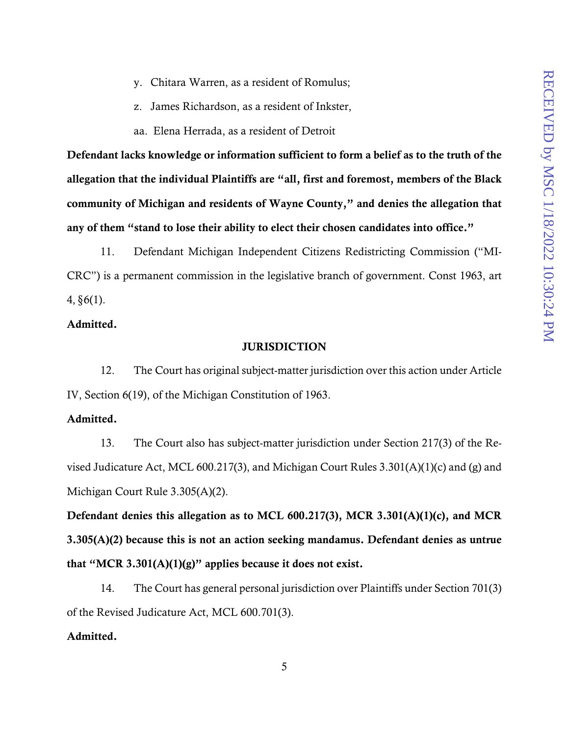- y. Chitara Warren, as a resident of Romulus;
- z. James Richardson, as a resident of Inkster,
- aa. Elena Herrada, as a resident of Detroit

Defendant lacks knowledge or information sufficient to form a belief as to the truth of the allegation that the individual Plaintiffs are "all, first and foremost, members of the Black community of Michigan and residents of Wayne County," and denies the allegation that any of them "stand to lose their ability to elect their chosen candidates into office."

11. Defendant Michigan Independent Citizens Redistricting Commission ("MI-CRC") is a permanent commission in the legislative branch of government. Const 1963, art  $4, §6(1)$ .

### Admitted.

#### JURISDICTION

12. The Court has original subject-matter jurisdiction over this action under Article IV, Section 6(19), of the Michigan Constitution of 1963.

### Admitted.

13. The Court also has subject-matter jurisdiction under Section 217(3) of the Revised Judicature Act, MCL 600.217(3), and Michigan Court Rules 3.301(A)(1)(c) and (g) and Michigan Court Rule 3.305(A)(2).

Defendant denies this allegation as to MCL 600.217(3), MCR 3.301(A)(1)(c), and MCR 3.305(A)(2) because this is not an action seeking mandamus. Defendant denies as untrue that "MCR 3.301(A)(1)(g)" applies because it does not exist.

14. The Court has general personal jurisdiction over Plaintiffs under Section 701(3) of the Revised Judicature Act, MCL 600.701(3).

## Admitted.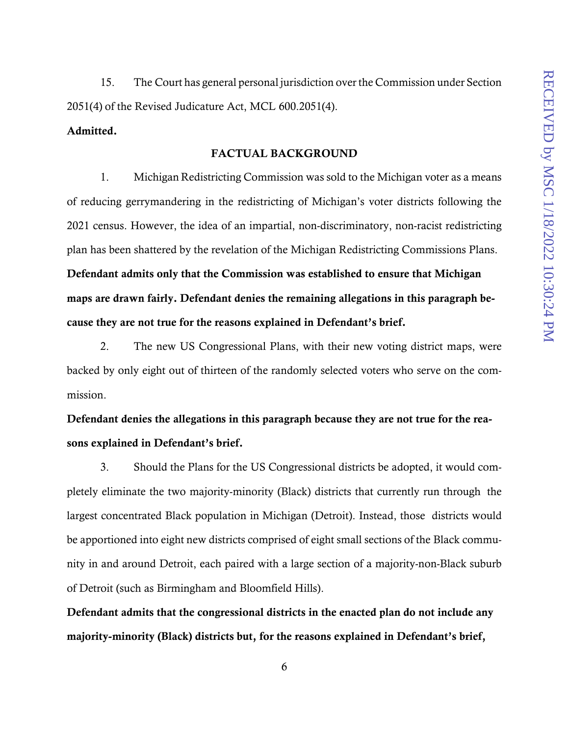15. The Court has general personal jurisdiction over the Commission under Section 2051(4) of the Revised Judicature Act, MCL 600.2051(4).

## Admitted.

#### FACTUAL BACKGROUND

1. Michigan Redistricting Commission was sold to the Michigan voter as a means of reducing gerrymandering in the redistricting of Michigan's voter districts following the 2021 census. However, the idea of an impartial, non-discriminatory, non-racist redistricting plan has been shattered by the revelation of the Michigan Redistricting Commissions Plans. Defendant admits only that the Commission was established to ensure that Michigan maps are drawn fairly. Defendant denies the remaining allegations in this paragraph because they are not true for the reasons explained in Defendant's brief.

2. The new US Congressional Plans, with their new voting district maps, were backed by only eight out of thirteen of the randomly selected voters who serve on the commission.

Defendant denies the allegations in this paragraph because they are not true for the reasons explained in Defendant's brief.

3. Should the Plans for the US Congressional districts be adopted, it would completely eliminate the two majority-minority (Black) districts that currently run through the largest concentrated Black population in Michigan (Detroit). Instead, those districts would be apportioned into eight new districts comprised of eight small sections of the Black community in and around Detroit, each paired with a large section of a majority-non-Black suburb of Detroit (such as Birmingham and Bloomfield Hills).

Defendant admits that the congressional districts in the enacted plan do not include any majority-minority (Black) districts but, for the reasons explained in Defendant's brief,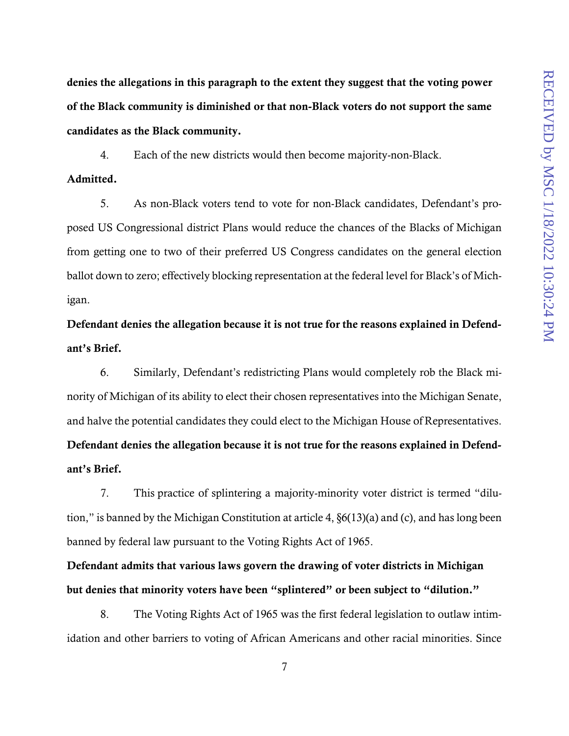denies the allegations in this paragraph to the extent they suggest that the voting power of the Black community is diminished or that non-Black voters do not support the same candidates as the Black community.

4. Each of the new districts would then become majority-non-Black.

### Admitted.

5. As non-Black voters tend to vote for non-Black candidates, Defendant's proposed US Congressional district Plans would reduce the chances of the Blacks of Michigan from getting one to two of their preferred US Congress candidates on the general election ballot down to zero; effectively blocking representation at the federal level for Black's of Michigan.

Defendant denies the allegation because it is not true for the reasons explained in Defendant's Brief.

6. Similarly, Defendant's redistricting Plans would completely rob the Black minority of Michigan of its ability to elect their chosen representatives into the Michigan Senate, and halve the potential candidates they could elect to the Michigan House of Representatives. Defendant denies the allegation because it is not true for the reasons explained in Defendant's Brief.

7. This practice of splintering a majority-minority voter district is termed "dilution," is banned by the Michigan Constitution at article 4, §6(13)(a) and (c), and has long been banned by federal law pursuant to the Voting Rights Act of 1965.

Defendant admits that various laws govern the drawing of voter districts in Michigan but denies that minority voters have been "splintered" or been subject to "dilution."

8. The Voting Rights Act of 1965 was the first federal legislation to outlaw intimidation and other barriers to voting of African Americans and other racial minorities. Since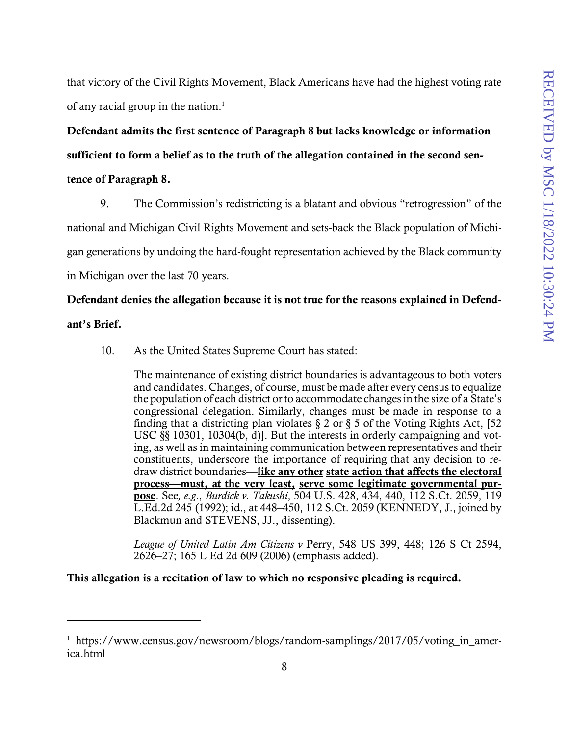that victory of the Civil Rights Movement, Black Americans have had the highest voting rate of any racial group in the nation.<sup>1</sup>

Defendant admits the first sentence of Paragraph 8 but lacks knowledge or information sufficient to form a belief as to the truth of the allegation contained in the second sentence of Paragraph 8.

9. The Commission's redistricting is a blatant and obvious "retrogression" of the national and Michigan Civil Rights Movement and sets-back the Black population of Michigan generations by undoing the hard-fought representation achieved by the Black community in Michigan over the last 70 years.

## Defendant denies the allegation because it is not true for the reasons explained in Defend-

### ant's Brief.

 $\overline{a}$ 

10. As the United States Supreme Court has stated:

The maintenance of existing district boundaries is advantageous to both voters and candidates. Changes, of course, must be made after every census to equalize the population of each district or to accommodate changes in the size of a State's congressional delegation. Similarly, changes must be made in response to a finding that a districting plan violates  $\S 2$  or  $\S 5$  of the Voting Rights Act, [52] USC §§ 10301, 10304(b, d)]. But the interests in orderly campaigning and voting, as well as in maintaining communication between representatives and their constituents, underscore the importance of requiring that any decision to redraw district boundaries—like any other state action that affects the electoral process—must, at the very least, serve some legitimate governmental purpose. See*, e.g*., *Burdick v. Takushi*, 504 U.S. 428, 434, 440, 112 S.Ct. 2059, 119 L.Ed.2d 245 (1992); id., at 448–450, 112 S.Ct. 2059 (KENNEDY, J., joined by Blackmun and STEVENS, JJ., dissenting).

*League of United Latin Am Citizens v* Perry, 548 US 399, 448; 126 S Ct 2594, 2626–27; 165 L Ed 2d 609 (2006) (emphasis added).

This allegation is a recitation of law to which no responsive pleading is required.

<sup>&</sup>lt;sup>1</sup> https://www.census.gov/newsroom/blogs/random-samplings/2017/05/voting\_in\_america.html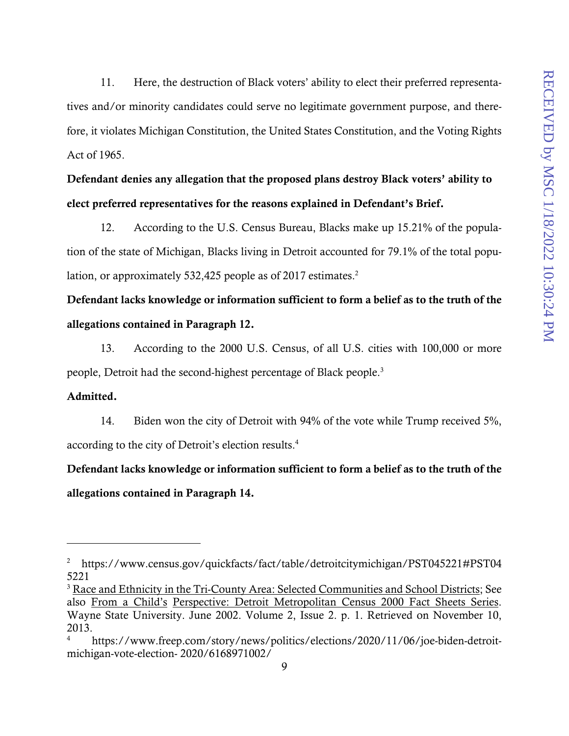11. Here, the destruction of Black voters' ability to elect their preferred representatives and/or minority candidates could serve no legitimate government purpose, and therefore, it violates Michigan Constitution, the United States Constitution, and the Voting Rights Act of 1965.

# Defendant denies any allegation that the proposed plans destroy Black voters' ability to elect preferred representatives for the reasons explained in Defendant's Brief.

12. According to the U.S. Census Bureau, Blacks make up 15.21% of the population of the state of Michigan, Blacks living in Detroit accounted for 79.1% of the total population, or approximately 532,425 people as of 2017 estimates.<sup>2</sup>

# Defendant lacks knowledge or information sufficient to form a belief as to the truth of the allegations contained in Paragraph 12.

13. According to the 2000 U.S. Census, of all U.S. cities with 100,000 or more people, Detroit had the second-highest percentage of Black people.<sup>3</sup>

### Admitted.

1

14. Biden won the city of Detroit with 94% of the vote while Trump received 5%, according to the city of Detroit's election results.4

Defendant lacks knowledge or information sufficient to form a belief as to the truth of the allegations contained in Paragraph 14.

<sup>&</sup>lt;sup>2</sup> https://www.census.gov/quickfacts/fact/table/detroitcitymichigan/PST045221#PST04 5221

<sup>&</sup>lt;sup>3</sup> Race and Ethnicity in the Tri-County Area: Selected Communities and School Districts; See also From a Child's Perspective: Detroit Metropolitan Census 2000 Fact Sheets Series. Wayne State University. June 2002. Volume 2, Issue 2. p. 1. Retrieved on November 10, 2013.

<sup>4</sup> https://www.freep.com/story/news/politics/elections/2020/11/06/joe-biden-detroitmichigan-vote-election- 2020/6168971002/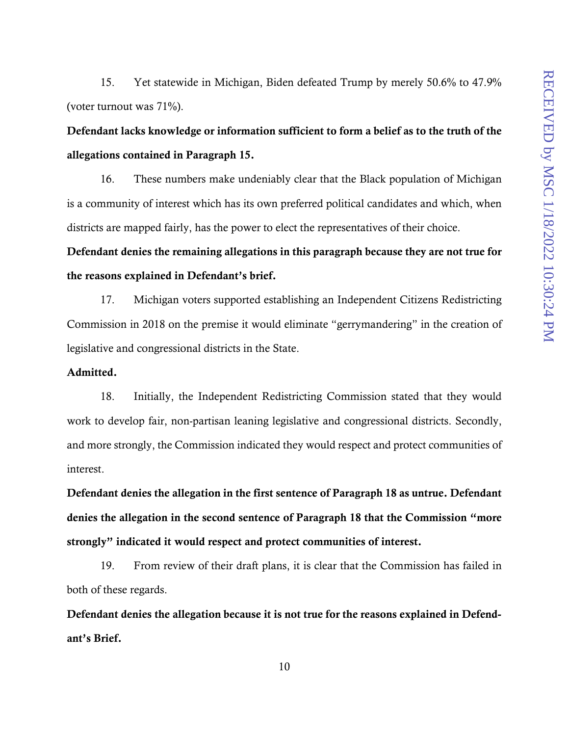15. Yet statewide in Michigan, Biden defeated Trump by merely 50.6% to 47.9% (voter turnout was 71%).

# Defendant lacks knowledge or information sufficient to form a belief as to the truth of the allegations contained in Paragraph 15.

16. These numbers make undeniably clear that the Black population of Michigan is a community of interest which has its own preferred political candidates and which, when districts are mapped fairly, has the power to elect the representatives of their choice.

Defendant denies the remaining allegations in this paragraph because they are not true for the reasons explained in Defendant's brief.

17. Michigan voters supported establishing an Independent Citizens Redistricting Commission in 2018 on the premise it would eliminate "gerrymandering" in the creation of legislative and congressional districts in the State.

#### Admitted.

18. Initially, the Independent Redistricting Commission stated that they would work to develop fair, non-partisan leaning legislative and congressional districts. Secondly, and more strongly, the Commission indicated they would respect and protect communities of interest.

Defendant denies the allegation in the first sentence of Paragraph 18 as untrue. Defendant denies the allegation in the second sentence of Paragraph 18 that the Commission "more strongly" indicated it would respect and protect communities of interest.

19. From review of their draft plans, it is clear that the Commission has failed in both of these regards.

Defendant denies the allegation because it is not true for the reasons explained in Defendant's Brief.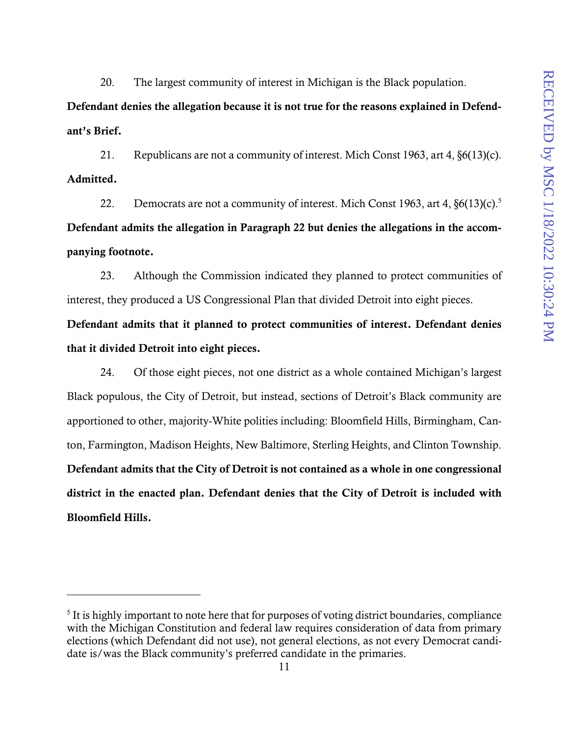20. The largest community of interest in Michigan is the Black population.

Defendant denies the allegation because it is not true for the reasons explained in Defendant's Brief.

21. Republicans are not a community of interest. Mich Const 1963, art 4, §6(13)(c). Admitted.

22. Democrats are not a community of interest. Mich Const 1963, art 4,  $\delta$ 6(13)(c).<sup>5</sup> Defendant admits the allegation in Paragraph 22 but denies the allegations in the accompanying footnote.

23. Although the Commission indicated they planned to protect communities of interest, they produced a US Congressional Plan that divided Detroit into eight pieces.

Defendant admits that it planned to protect communities of interest. Defendant denies that it divided Detroit into eight pieces.

24. Of those eight pieces, not one district as a whole contained Michigan's largest Black populous, the City of Detroit, but instead, sections of Detroit's Black community are apportioned to other, majority-White polities including: Bloomfield Hills, Birmingham, Canton, Farmington, Madison Heights, New Baltimore, Sterling Heights, and Clinton Township. Defendant admits that the City of Detroit is not contained as a whole in one congressional district in the enacted plan. Defendant denies that the City of Detroit is included with Bloomfield Hills.

<sup>&</sup>lt;sup>5</sup> It is highly important to note here that for purposes of voting district boundaries, compliance with the Michigan Constitution and federal law requires consideration of data from primary elections (which Defendant did not use), not general elections, as not every Democrat candidate is/was the Black community's preferred candidate in the primaries.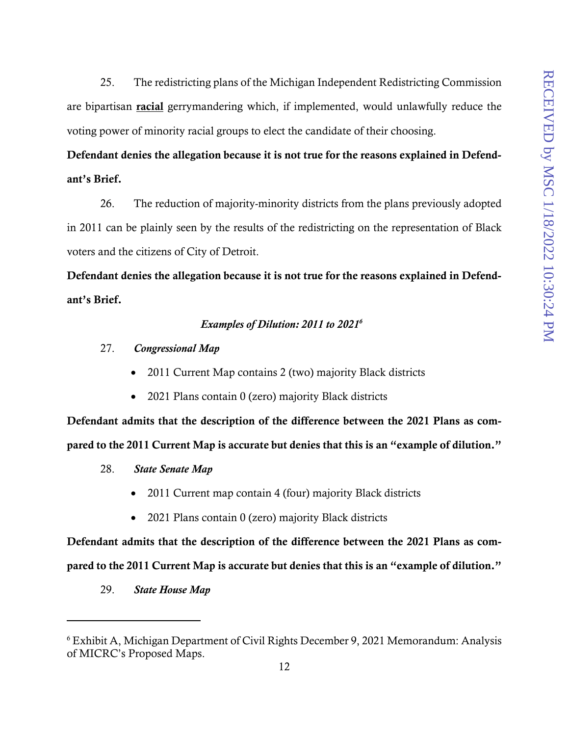25. The redistricting plans of the Michigan Independent Redistricting Commission are bipartisan **racial** gerrymandering which, if implemented, would unlawfully reduce the voting power of minority racial groups to elect the candidate of their choosing.

# Defendant denies the allegation because it is not true for the reasons explained in Defendant's Brief.

26. The reduction of majority-minority districts from the plans previously adopted in 2011 can be plainly seen by the results of the redistricting on the representation of Black voters and the citizens of City of Detroit.

Defendant denies the allegation because it is not true for the reasons explained in Defendant's Brief.

### *Examples of Dilution: 2011 to 20216*

- 27. *Congressional Map* 
	- 2011 Current Map contains 2 (two) majority Black districts
	- 2021 Plans contain 0 (zero) majority Black districts

Defendant admits that the description of the difference between the 2021 Plans as compared to the 2011 Current Map is accurate but denies that this is an "example of dilution."

- 28. *State Senate Map* 
	- 2011 Current map contain 4 (four) majority Black districts
	- 2021 Plans contain 0 (zero) majority Black districts

Defendant admits that the description of the difference between the 2021 Plans as compared to the 2011 Current Map is accurate but denies that this is an "example of dilution."

29. *State House Map* 

<sup>6</sup> Exhibit A, Michigan Department of Civil Rights December 9, 2021 Memorandum: Analysis of MICRC's Proposed Maps.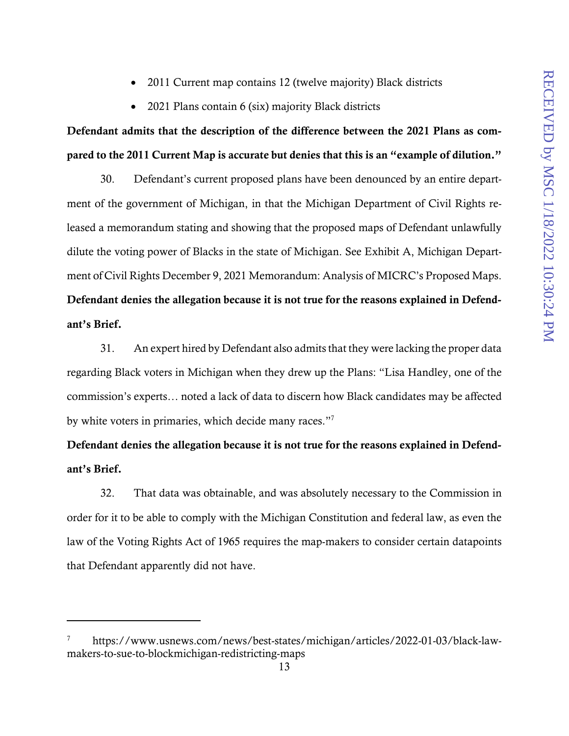- 2011 Current map contains 12 (twelve majority) Black districts
- 2021 Plans contain 6 (six) majority Black districts

# Defendant admits that the description of the difference between the 2021 Plans as compared to the 2011 Current Map is accurate but denies that this is an "example of dilution."

30. Defendant's current proposed plans have been denounced by an entire department of the government of Michigan, in that the Michigan Department of Civil Rights released a memorandum stating and showing that the proposed maps of Defendant unlawfully dilute the voting power of Blacks in the state of Michigan. See Exhibit A, Michigan Department of Civil Rights December 9, 2021 Memorandum: Analysis of MICRC's Proposed Maps. Defendant denies the allegation because it is not true for the reasons explained in Defendant's Brief.

31. An expert hired by Defendant also admits that they were lacking the proper data regarding Black voters in Michigan when they drew up the Plans: "Lisa Handley, one of the commission's experts… noted a lack of data to discern how Black candidates may be affected by white voters in primaries, which decide many races."7

# Defendant denies the allegation because it is not true for the reasons explained in Defendant's Brief.

32. That data was obtainable, and was absolutely necessary to the Commission in order for it to be able to comply with the Michigan Constitution and federal law, as even the law of the Voting Rights Act of 1965 requires the map-makers to consider certain datapoints that Defendant apparently did not have.

<sup>7</sup> https://www.usnews.com/news/best-states/michigan/articles/2022-01-03/black-lawmakers-to-sue-to-blockmichigan-redistricting-maps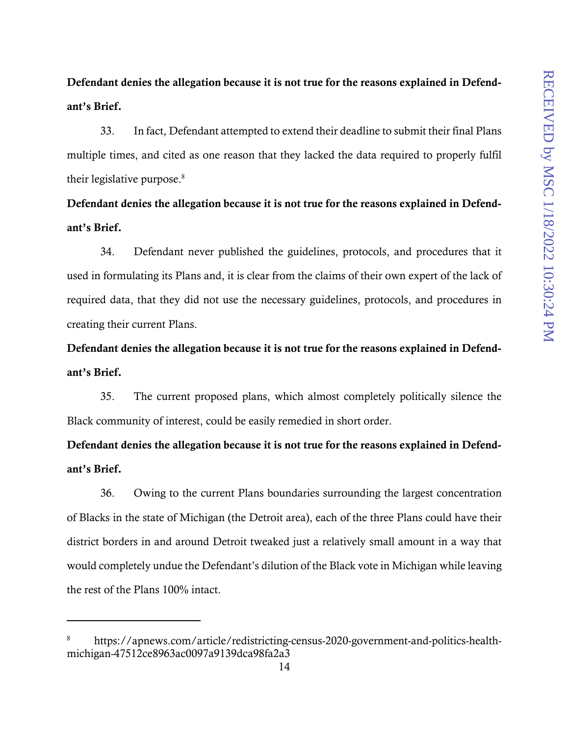Defendant denies the allegation because it is not true for the reasons explained in Defendant's Brief.

33. In fact, Defendant attempted to extend their deadline to submit their final Plans multiple times, and cited as one reason that they lacked the data required to properly fulfil their legislative purpose.<sup>8</sup>

Defendant denies the allegation because it is not true for the reasons explained in Defendant's Brief.

34. Defendant never published the guidelines, protocols, and procedures that it used in formulating its Plans and, it is clear from the claims of their own expert of the lack of required data, that they did not use the necessary guidelines, protocols, and procedures in creating their current Plans.

Defendant denies the allegation because it is not true for the reasons explained in Defendant's Brief.

35. The current proposed plans, which almost completely politically silence the Black community of interest, could be easily remedied in short order.

Defendant denies the allegation because it is not true for the reasons explained in Defendant's Brief.

36. Owing to the current Plans boundaries surrounding the largest concentration of Blacks in the state of Michigan (the Detroit area), each of the three Plans could have their district borders in and around Detroit tweaked just a relatively small amount in a way that would completely undue the Defendant's dilution of the Black vote in Michigan while leaving the rest of the Plans 100% intact.

1

<sup>8</sup> https://apnews.com/article/redistricting-census-2020-government-and-politics-healthmichigan-47512ce8963ac0097a9139dca98fa2a3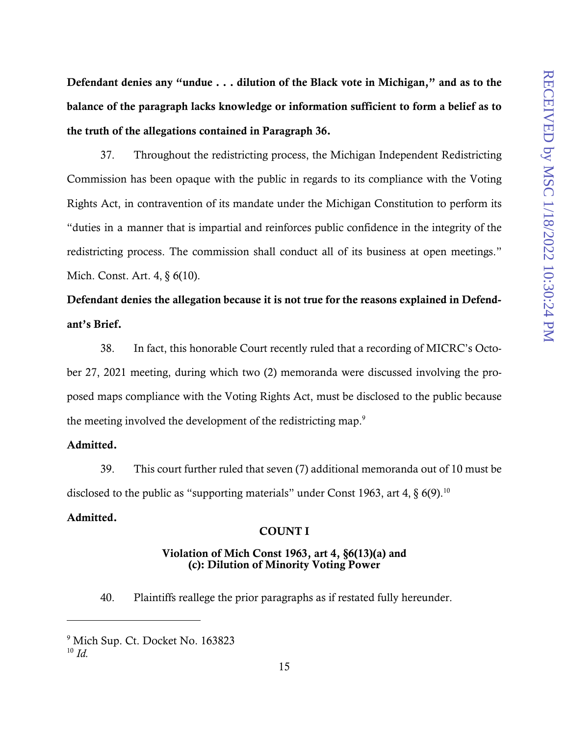Defendant denies any "undue . . . dilution of the Black vote in Michigan," and as to the balance of the paragraph lacks knowledge or information sufficient to form a belief as to the truth of the allegations contained in Paragraph 36.

37. Throughout the redistricting process, the Michigan Independent Redistricting Commission has been opaque with the public in regards to its compliance with the Voting Rights Act, in contravention of its mandate under the Michigan Constitution to perform its "duties in a manner that is impartial and reinforces public confidence in the integrity of the redistricting process. The commission shall conduct all of its business at open meetings." Mich. Const. Art. 4, § 6(10).

# Defendant denies the allegation because it is not true for the reasons explained in Defendant's Brief.

38. In fact, this honorable Court recently ruled that a recording of MICRC's October 27, 2021 meeting, during which two (2) memoranda were discussed involving the proposed maps compliance with the Voting Rights Act, must be disclosed to the public because the meeting involved the development of the redistricting map.<sup>9</sup>

#### Admitted.

39. This court further ruled that seven (7) additional memoranda out of 10 must be disclosed to the public as "supporting materials" under Const 1963, art 4,  $\S$  6(9).<sup>10</sup>

## Admitted.

#### COUNT I

### Violation of Mich Const 1963, art 4, §6(13)(a) and (c): Dilution of Minority Voting Power

40. Plaintiffs reallege the prior paragraphs as if restated fully hereunder.

<u>.</u>

<sup>9</sup> Mich Sup. Ct. Docket No. 163823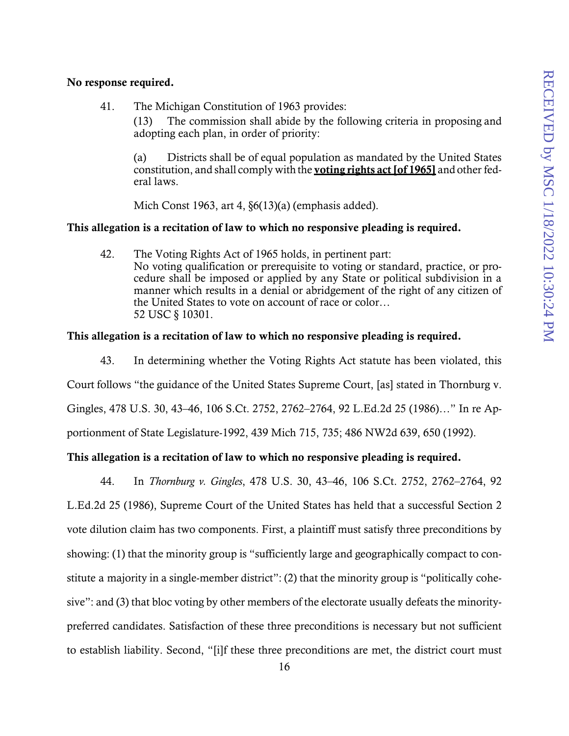#### No response required.

41. The Michigan Constitution of 1963 provides:

(13) The commission shall abide by the following criteria in proposing and adopting each plan, in order of priority:

(a) Districts shall be of equal population as mandated by the United States constitution, and shall comply with the voting rights act [of 1965] and other federal laws.

Mich Const 1963, art 4, §6(13)(a) (emphasis added).

#### This allegation is a recitation of law to which no responsive pleading is required.

42. The Voting Rights Act of 1965 holds, in pertinent part: No voting qualification or prerequisite to voting or standard, practice, or procedure shall be imposed or applied by any State or political subdivision in a manner which results in a denial or abridgement of the right of any citizen of the United States to vote on account of race or color… 52 USC § 10301.

#### This allegation is a recitation of law to which no responsive pleading is required.

43. In determining whether the Voting Rights Act statute has been violated, this Court follows "the guidance of the United States Supreme Court, [as] stated in Thornburg v. Gingles, 478 U.S. 30, 43–46, 106 S.Ct. 2752, 2762–2764, 92 L.Ed.2d 25 (1986)…" In re Apportionment of State Legislature-1992, 439 Mich 715, 735; 486 NW2d 639, 650 (1992).

### This allegation is a recitation of law to which no responsive pleading is required.

44. In *Thornburg v. Gingles*, 478 U.S. 30, 43–46, 106 S.Ct. 2752, 2762–2764, 92 L.Ed.2d 25 (1986), Supreme Court of the United States has held that a successful Section 2 vote dilution claim has two components. First, a plaintiff must satisfy three preconditions by showing: (1) that the minority group is "sufficiently large and geographically compact to constitute a majority in a single-member district": (2) that the minority group is "politically cohesive": and (3) that bloc voting by other members of the electorate usually defeats the minoritypreferred candidates. Satisfaction of these three preconditions is necessary but not sufficient to establish liability. Second, "[i]f these three preconditions are met, the district court must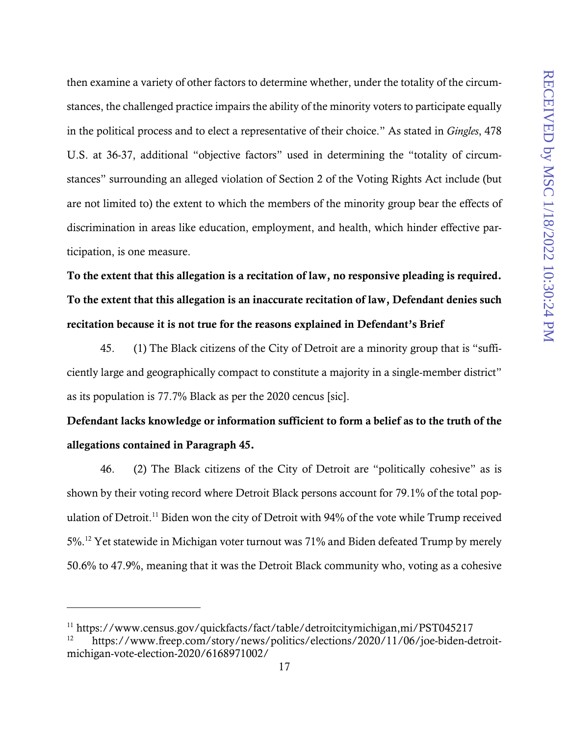then examine a variety of other factors to determine whether, under the totality of the circumstances, the challenged practice impairs the ability of the minority voters to participate equally in the political process and to elect a representative of their choice." As stated in *Gingles*, 478 U.S. at 36-37, additional "objective factors" used in determining the "totality of circumstances" surrounding an alleged violation of Section 2 of the Voting Rights Act include (but are not limited to) the extent to which the members of the minority group bear the effects of discrimination in areas like education, employment, and health, which hinder effective participation, is one measure.

To the extent that this allegation is a recitation of law, no responsive pleading is required. To the extent that this allegation is an inaccurate recitation of law, Defendant denies such recitation because it is not true for the reasons explained in Defendant's Brief

45. (1) The Black citizens of the City of Detroit are a minority group that is "sufficiently large and geographically compact to constitute a majority in a single-member district" as its population is 77.7% Black as per the 2020 cencus [sic].

# Defendant lacks knowledge or information sufficient to form a belief as to the truth of the allegations contained in Paragraph 45.

46. (2) The Black citizens of the City of Detroit are "politically cohesive" as is shown by their voting record where Detroit Black persons account for 79.1% of the total population of Detroit.<sup>11</sup> Biden won the city of Detroit with 94% of the vote while Trump received 5%.12 Yet statewide in Michigan voter turnout was 71% and Biden defeated Trump by merely 50.6% to 47.9%, meaning that it was the Detroit Black community who, voting as a cohesive

<sup>11</sup> https://www.census.gov/quickfacts/fact/table/detroitcitymichigan,mi/PST045217

<sup>12</sup> https://www.freep.com/story/news/politics/elections/2020/11/06/joe-biden-detroitmichigan-vote-election-2020/6168971002/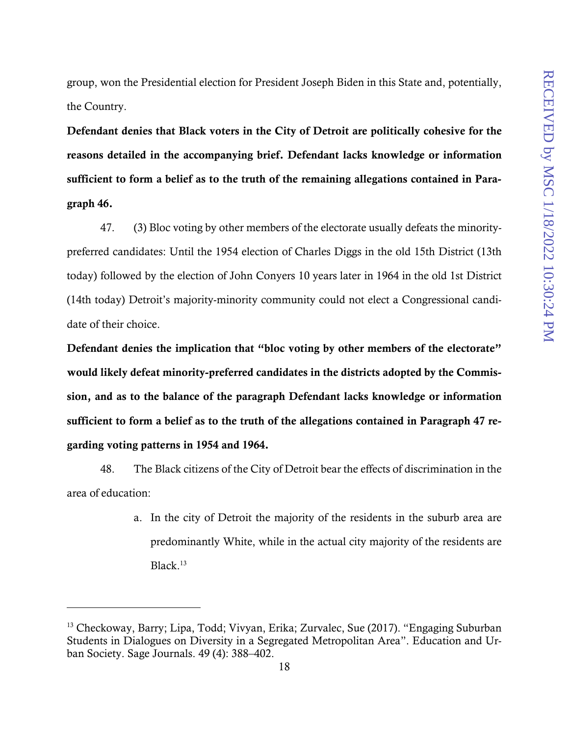group, won the Presidential election for President Joseph Biden in this State and, potentially, the Country.

Defendant denies that Black voters in the City of Detroit are politically cohesive for the reasons detailed in the accompanying brief. Defendant lacks knowledge or information sufficient to form a belief as to the truth of the remaining allegations contained in Paragraph 46.

47. (3) Bloc voting by other members of the electorate usually defeats the minoritypreferred candidates: Until the 1954 election of Charles Diggs in the old 15th District (13th today) followed by the election of John Conyers 10 years later in 1964 in the old 1st District (14th today) Detroit's majority-minority community could not elect a Congressional candidate of their choice.

Defendant denies the implication that "bloc voting by other members of the electorate" would likely defeat minority-preferred candidates in the districts adopted by the Commission, and as to the balance of the paragraph Defendant lacks knowledge or information sufficient to form a belief as to the truth of the allegations contained in Paragraph 47 regarding voting patterns in 1954 and 1964.

48. The Black citizens of the City of Detroit bear the effects of discrimination in the area of education:

> a. In the city of Detroit the majority of the residents in the suburb area are predominantly White, while in the actual city majority of the residents are Black. $13$

1

<sup>&</sup>lt;sup>13</sup> Checkoway, Barry; Lipa, Todd; Vivyan, Erika; Zurvalec, Sue (2017). "Engaging Suburban Students in Dialogues on Diversity in a Segregated Metropolitan Area". Education and Urban Society. Sage Journals. 49 (4): 388–402.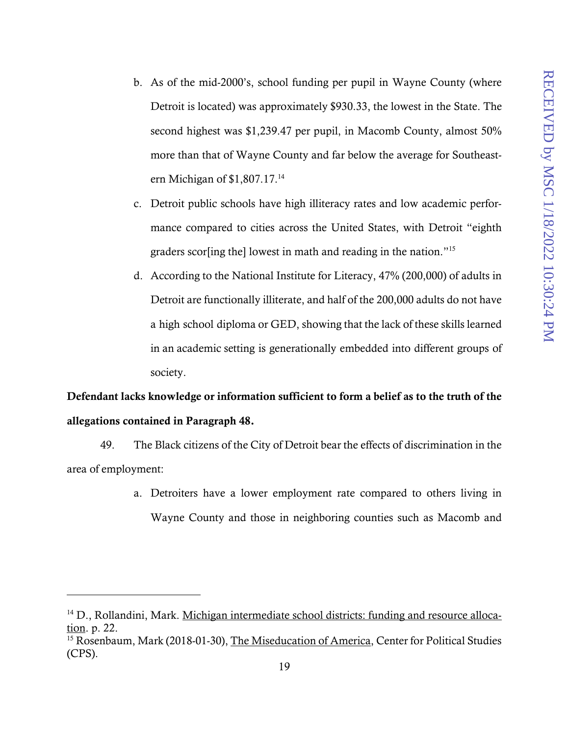- b. As of the mid-2000's, school funding per pupil in Wayne County (where Detroit is located) was approximately \$930.33, the lowest in the State. The second highest was \$1,239.47 per pupil, in Macomb County, almost 50% more than that of Wayne County and far below the average for Southeastern Michigan of \$1,807.17.14
- c. Detroit public schools have high illiteracy rates and low academic performance compared to cities across the United States, with Detroit "eighth graders scor[ing the] lowest in math and reading in the nation."15
- d. According to the National Institute for Literacy, 47% (200,000) of adults in Detroit are functionally illiterate, and half of the 200,000 adults do not have a high school diploma or GED, showing that the lack of these skills learned in an academic setting is generationally embedded into different groups of society.

# Defendant lacks knowledge or information sufficient to form a belief as to the truth of the allegations contained in Paragraph 48.

49. The Black citizens of the City of Detroit bear the effects of discrimination in the area of employment:

> a. Detroiters have a lower employment rate compared to others living in Wayne County and those in neighboring counties such as Macomb and

1

<sup>&</sup>lt;sup>14</sup> D., Rollandini, Mark. Michigan intermediate school districts: funding and resource allocation. p. 22.

<sup>&</sup>lt;sup>15</sup> Rosenbaum, Mark (2018-01-30), The Miseducation of America, Center for Political Studies (CPS).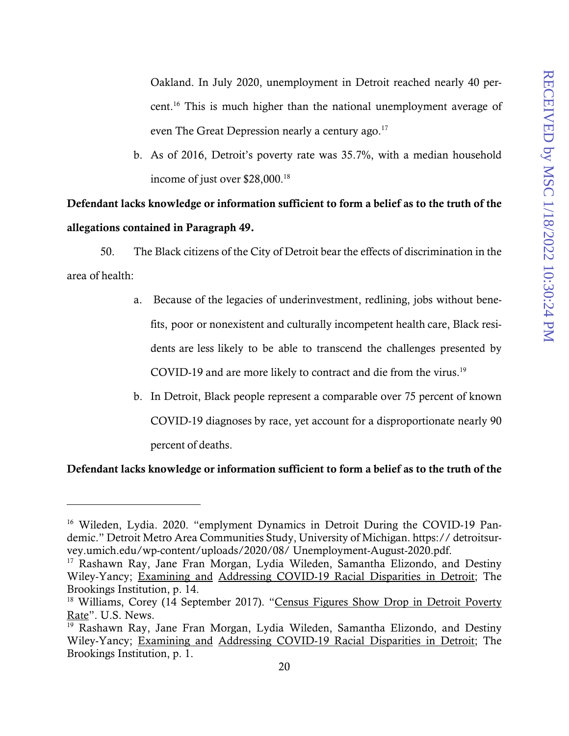Oakland. In July 2020, unemployment in Detroit reached nearly 40 percent.16 This is much higher than the national unemployment average of even The Great Depression nearly a century ago.<sup>17</sup>

b. As of 2016, Detroit's poverty rate was 35.7%, with a median household income of just over \$28,000.<sup>18</sup>

Defendant lacks knowledge or information sufficient to form a belief as to the truth of the allegations contained in Paragraph 49.

50. The Black citizens of the City of Detroit bear the effects of discrimination in the area of health:

- a. Because of the legacies of underinvestment, redlining, jobs without benefits, poor or nonexistent and culturally incompetent health care, Black residents are less likely to be able to transcend the challenges presented by COVID-19 and are more likely to contract and die from the virus.<sup>19</sup>
- b. In Detroit, Black people represent a comparable over 75 percent of known COVID-19 diagnoses by race, yet account for a disproportionate nearly 90 percent of deaths.

#### Defendant lacks knowledge or information sufficient to form a belief as to the truth of the

<sup>&</sup>lt;sup>16</sup> Wileden, Lydia. 2020. "emplyment Dynamics in Detroit During the COVID-19 Pandemic." Detroit Metro Area Communities Study, University of Michigan. https:// detroitsurvey.umich.edu/wp-content/uploads/2020/08/ Unemployment-August-2020.pdf.

<sup>&</sup>lt;sup>17</sup> Rashawn Ray, Jane Fran Morgan, Lydia Wileden, Samantha Elizondo, and Destiny Wiley-Yancy; Examining and Addressing COVID-19 Racial Disparities in Detroit; The Brookings Institution, p. 14.

<sup>&</sup>lt;sup>18</sup> Williams, Corey (14 September 2017). "Census Figures Show Drop in Detroit Poverty Rate". U.S. News.

<sup>19</sup> Rashawn Ray, Jane Fran Morgan, Lydia Wileden, Samantha Elizondo, and Destiny Wiley-Yancy; Examining and Addressing COVID-19 Racial Disparities in Detroit; The Brookings Institution, p. 1.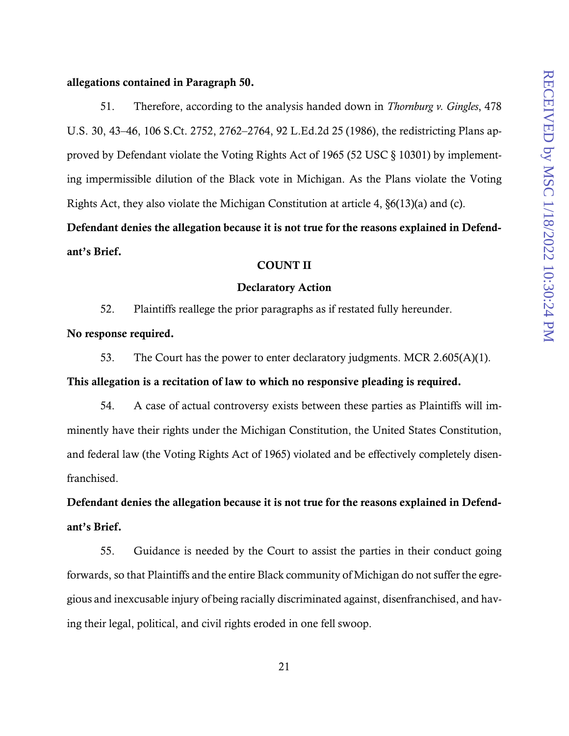#### allegations contained in Paragraph 50.

51. Therefore, according to the analysis handed down in *Thornburg v. Gingles*, 478 U.S. 30, 43–46, 106 S.Ct. 2752, 2762–2764, 92 L.Ed.2d 25 (1986), the redistricting Plans approved by Defendant violate the Voting Rights Act of 1965 (52 USC § 10301) by implementing impermissible dilution of the Black vote in Michigan. As the Plans violate the Voting Rights Act, they also violate the Michigan Constitution at article 4, §6(13)(a) and (c).

Defendant denies the allegation because it is not true for the reasons explained in Defendant's Brief.

### COUNT II

#### Declaratory Action

52. Plaintiffs reallege the prior paragraphs as if restated fully hereunder.

No response required.

53. The Court has the power to enter declaratory judgments. MCR 2.605(A)(1).

This allegation is a recitation of law to which no responsive pleading is required.

54. A case of actual controversy exists between these parties as Plaintiffs will imminently have their rights under the Michigan Constitution, the United States Constitution, and federal law (the Voting Rights Act of 1965) violated and be effectively completely disenfranchised.

Defendant denies the allegation because it is not true for the reasons explained in Defendant's Brief.

55. Guidance is needed by the Court to assist the parties in their conduct going forwards, so that Plaintiffs and the entire Black community of Michigan do not suffer the egregious and inexcusable injury of being racially discriminated against, disenfranchised, and having their legal, political, and civil rights eroded in one fell swoop.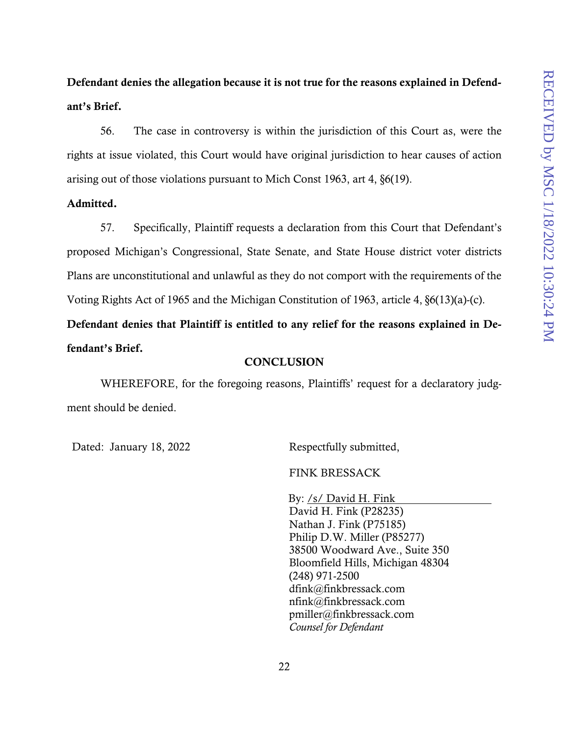# Defendant denies the allegation because it is not true for the reasons explained in Defendant's Brief.

56. The case in controversy is within the jurisdiction of this Court as, were the rights at issue violated, this Court would have original jurisdiction to hear causes of action arising out of those violations pursuant to Mich Const 1963, art 4, §6(19).

#### Admitted.

57. Specifically, Plaintiff requests a declaration from this Court that Defendant's proposed Michigan's Congressional, State Senate, and State House district voter districts Plans are unconstitutional and unlawful as they do not comport with the requirements of the Voting Rights Act of 1965 and the Michigan Constitution of 1963, article 4, §6(13)(a)-(c).

Defendant denies that Plaintiff is entitled to any relief for the reasons explained in Defendant's Brief.

#### **CONCLUSION**

WHEREFORE, for the foregoing reasons, Plaintiffs' request for a declaratory judgment should be denied.

Dated: January 18, 2022

Respectfully submitted,

FINK BRESSACK

By: /s/ David H. Fink David H. Fink (P28235) Nathan J. Fink (P75185) Philip D.W. Miller (P85277) 38500 Woodward Ave., Suite 350 Bloomfield Hills, Michigan 48304 (248) 971-2500 dfink@finkbressack.com nfink@finkbressack.com pmiller@finkbressack.com *Counsel for Defendant*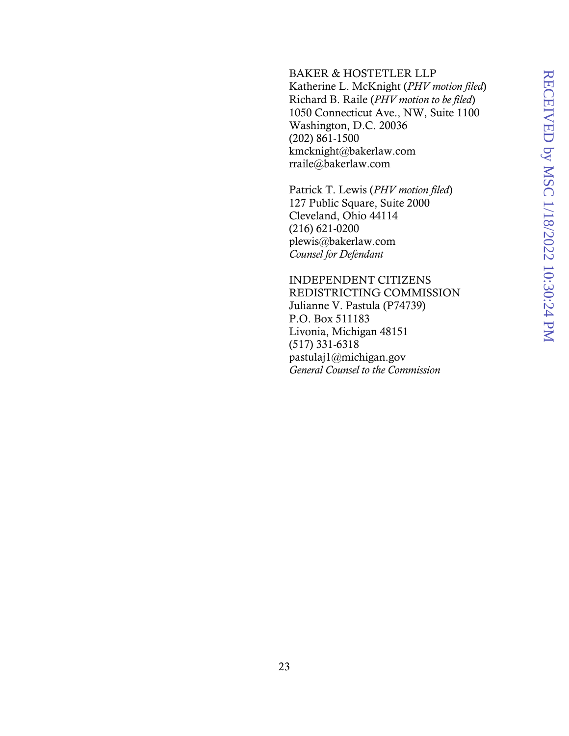#### BAKER & HOSTETLER LLP

Katherine L. McKnight (*PHV motion filed*) Richard B. Raile (*PHV motion to be filed*) 1050 Connecticut Ave., NW, Suite 1100 Washington, D.C. 20036 (202) 861-1500 kmcknight@bakerlaw.com rraile@bakerlaw.com

Patrick T. Lewis (*PHV motion filed*) 127 Public Square, Suite 2000 Cleveland, Ohio 44114 (216) 621-0200 plewis@bakerlaw.com *Counsel for Defendant* 

INDEPENDENT CITIZENS REDISTRICTING COMMISSION Julianne V. Pastula (P74739) P.O. Box 511183 Livonia, Michigan 48151 (517) 331-6318 pastulaj1@michigan.gov *General Counsel to the Commission*